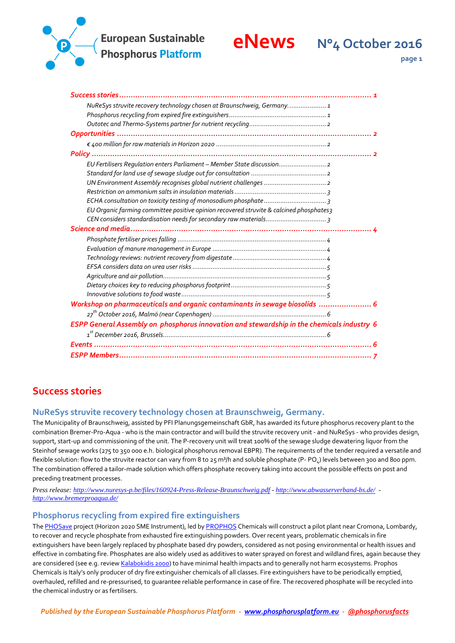



**page 1**

| NuReSys struvite recovery technology chosen at Braunschweig, Germany 1                     |
|--------------------------------------------------------------------------------------------|
|                                                                                            |
|                                                                                            |
|                                                                                            |
|                                                                                            |
|                                                                                            |
| EU Fertilisers Regulation enters Parliament - Member State discussion 2                    |
|                                                                                            |
|                                                                                            |
|                                                                                            |
|                                                                                            |
| EU Organic farming committee positive opinion recovered struvite & calcined phosphates3    |
|                                                                                            |
|                                                                                            |
|                                                                                            |
|                                                                                            |
|                                                                                            |
|                                                                                            |
|                                                                                            |
|                                                                                            |
|                                                                                            |
| Workshop on pharmaceuticals and organic contaminants in sewage biosolids  6                |
|                                                                                            |
| ESPP General Assembly on phosphorus innovation and stewardship in the chemicals industry 6 |
|                                                                                            |
|                                                                                            |
|                                                                                            |

## <span id="page-0-0"></span>**Success stories**

#### <span id="page-0-1"></span>**NuReSys struvite recovery technology chosen at Braunschweig, Germany.**

The Municipality of Braunschweig, assisted by PFI Planungsgemeinschaft GbR, has awarded its future phosphorus recovery plant to the combination Bremer-Pro-Aqua - who is the main contractor and will build the struvite recovery unit - and NuReSys - who provides design, support, start-up and commissioning of the unit. The P-recovery unit will treat 100% of the sewage sludge dewatering liquor from the Steinhof sewage works (275 to 350 000 e.h. biological phosphorus removal EBPR). The requirements of the tender required a versatile and flexible solution: flow to the struvite reactor can vary from 8 to 25 m3/h and soluble phosphate (P- PO $_4$ ) levels between 300 and 800 ppm. The combination offered a tailor-made solution which offers phosphate recovery taking into account the possible effects on post and preceding treatment processes.

*Press release:<http://www.nuresys-p.be/files/160924-Press-Release-Braunschweig.pdf> - <http://www.abwasserverband-bs.de/> <http://www.bremerproaqua.de/>*

#### <span id="page-0-2"></span>**Phosphorus recycling from expired fire extinguishers**

Th[e PHOSave](https://ec.europa.eu/easme/en/sme/8285/innovative-solution-phosphate-recovery-exhausted-extinguishing-powders) project (Horizon 2020 SME Instrument), led by [PROPHOS](http://en.prophoschemicals.com/news/phosave-project/) Chemicals will construct a pilot plant near Cromona, Lombardy, to recover and recycle phosphate from exhausted fire extinguishing powders. Over recent years, problematic chemicals in fire extinguishers have been largely replaced by phosphate based dry powders, considered as not posing environmental or health issues and effective in combating fire. Phosphates are also widely used as additives to water sprayed on forest and wildland fires, again because they are considered (see e.g. revie[w Kalabokidis 2000\)](http://celake.ucanr.edu/files/219267.pdf) to have minimal health impacts and to generally not harm ecosystems. Prophos Chemicals is Italy's only producer of dry fire extinguisher chemicals of all classes. Fire extinguishers have to be periodically emptied, overhauled, refilled and re-pressurised, to guarantee reliable performance in case of fire. The recovered phosphate will be recycled into the chemical industry or as fertilisers.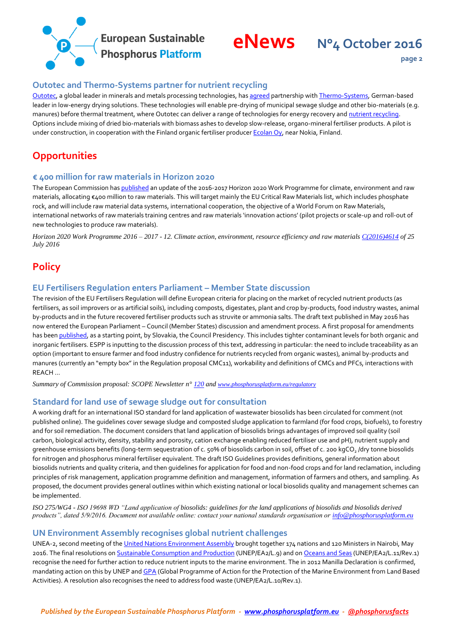

#### <span id="page-1-0"></span>**Outotec and Thermo-Systems partner for nutrient recycling**

[Outotec,](http://www.outotec.com/) a global leader in minerals and metals processing technologies, has [agreed](http://www.outotec.com/en/Media/News/2016/Outotec-partners-with-Thermo-System-to-deliver-thermal-processing-solutions-for-nutrient-recycling/) partnership wit[h Thermo-Systems,](http://www.thermosystems.com/) German-based leader in low-energy drying solutions. These technologies will enable pre-drying of municipal sewage sludge and other bio-materials (e.g. manures) before thermal treatment, where Outotec can deliver a range of technologies for energy recovery an[d nutrient recycling.](http://www.outotec.com/en/Products--services/Energy/Ash-Treatment/) Options include mixing of dried bio-materials with biomass ashes to develop slow-release, organo-mineral fertiliser products. A pilot is under construction, in cooperation with the Finland organic fertiliser produce[r Ecolan Oy,](https://www.linkedin.com/company/ecolan-oy) near Nokia, Finland.

# <span id="page-1-1"></span>**Opportunities**

#### <span id="page-1-2"></span>**€ 400 million for raw materials in Horizon 2020**

The European Commission ha[s published](http://ec.europa.eu/research/participants/data/ref/h2020/wp/2016_2017/main/h2020-wp1617-climate_en.pdf) an update of the 2016-2017 Horizon 2020 Work Programme for climate, environment and raw materials, allocating €400 million to raw materials. This will target mainly the EU Critical Raw Materials list, which includes phosphate rock, and will include raw material data systems, international cooperation, the objective of a World Forum on Raw Materials, international networks of raw materials training centres and raw materials 'innovation actions' (pilot projects or scale-up and roll-out of new technologies to produce raw materials).

*Horizon 2020 Work Programme 2016 – 2017 - 12. Climate action, environment, resource efficiency and raw material[s C\(2016\)4614](http://ec.europa.eu/research/participants/data/ref/h2020/wp/2016_2017/main/h2020-wp1617-climate_en.pdf) of 25 July 2016*

# <span id="page-1-3"></span>**Policy**

#### <span id="page-1-4"></span>**EU Fertilisers Regulation enters Parliament – Member State discussion**

The revision of the EU Fertilisers Regulation will define European criteria for placing on the market of recycled nutrient products (as fertilisers, as soil improvers or as artificial soils), including composts, digestates, plant and crop by-products, food industry wastes, animal by-products and in the future recovered fertiliser products such as struvite or ammonia salts. The draft text published in May 2016 has now entered the European Parliament – Council (Member States) discussion and amendment process. A first proposal for amendments has bee[n published,](http://data.consilium.europa.eu/doc/document/ST-11848-2016-INIT/en/pdf) as a starting point, by Slovakia, the Council Presidency. This includes tighter contaminant levels for both organic and inorganic fertilisers. ESPP is inputting to the discussion process of this text, addressing in particular: the need to include traceability as an option (important to ensure farmer and food industry confidence for nutrients recycled from organic wastes), animal by-products and manures (currently an "empty box" in the Regulation proposal CMC11), workability and definitions of CMCs and PFCs, interactions with REACH …

*Summary of Commission proposal: SCOPE Newsletter n[° 120](http://www.phosphorusplatform.eu/images/scope/ScopeNewsletter120.pdf) and [www.phosphorusplatform.eu/regulatory](http://www.phosphorusplatform.eu/regulatory)*

#### <span id="page-1-5"></span>**Standard for land use of sewage sludge out for consultation**

A working draft for an international ISO standard for land application of wastewater biosolids has been circulated for comment (not published online). The guidelines cover sewage sludge and composted sludge application to farmland (for food crops, biofuels), to forestry and for soil remediation. The document considers that land application of biosolids brings advantages of improved soil quality (soil carbon, biological activity, density, stability and porosity, cation exchange enabling reduced fertiliser use and pH), nutrient supply and greenhouse emissions benefits (long-term sequestration of c. 50% of biosolids carbon in soil, offset of c. 200 kgCO $_2$  /dry tonne biosolids for nitrogen and phosphorus mineral fertiliser equivalent. The draft ISO Guidelines provides definitions, general information about biosolids nutrients and quality criteria, and then guidelines for application for food and non-food crops and for land reclamation, including principles of risk management, application programme definition and management, information of farmers and others, and sampling. As proposed, the document provides general outlines within which existing national or local biosolids quality and management schemes can be implemented.

*ISO 275/WG4 - ISO 19698 WD "Land application of biosolids: guidelines for the land applications of biosolids and biosolids derived products", dated 5/9/2016. Document not available online: contact your national standards organisation or [info@phosphorusplatform.eu](mailto:info@phosphorusplatform.eu)*

#### <span id="page-1-6"></span>**UN Environment Assembly recognises global nutrient challenges**

UNEA-2, second meeting of th[e United Nations Environment Assembly](http://web.unep.org/unea) brought together 174 nations and 120 Ministers in Nairobi, May 2016. The final resolutions o[n Sustainable Consumption and Production](http://www.unep.org/about/sgb/cpr_portal/Portals/50152/UNEA2%20RES/8.pdf) (UNEP/EA2/L.9) and o[n Oceans and Seas](http://www.unep.org/about/sgb/cpr_portal/Portals/50152/UNEA2%20RES/10.pdf) (UNEP/EA2/L.11/Rev.1) recognise the need for further action to reduce nutrient inputs to the marine environment. The in 2012 Manilla Declaration is confirmed, mandating action on this by UNEP an[d GPA](http://www.gpa.unep.org/) (Global Programme of Action for the Protection of the Marine Environment from Land Based Activities). A resolution also recognises the need to address food waste (UNEP/EA2/L.10/Rev.1).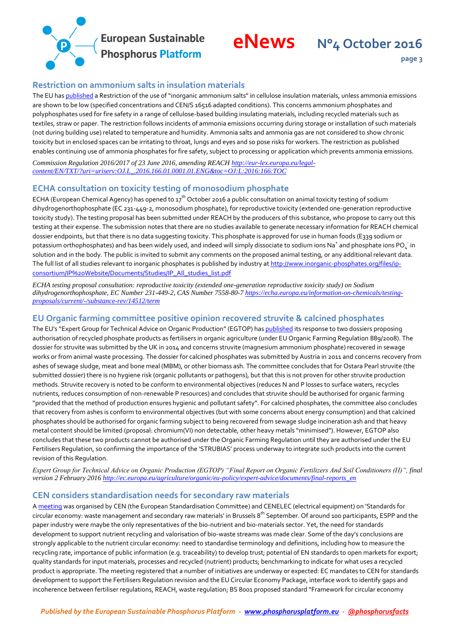

#### <span id="page-2-0"></span>**Restriction on ammonium salts in insulation materials**

The EU ha[s published](http://eur-lex.europa.eu/legal-content/EN/TXT/?uri=uriserv:OJ.L_.2016.166.01.0001.01.ENG&toc=OJ:L:2016:166:TOC) a Restriction of the use of "inorganic ammonium salts" in cellulose insulation materials, unless ammonia emissions are shown to be low (specified concentrations and CEN/S 16516 adapted conditions). This concerns ammonium phosphates and polyphosphates used for fire safety in a range of cellulose-based building insulating materials, including recycled materials such as textiles, straw or paper. The restriction follows incidents of ammonia emissions occurring during storage or installation of such materials (not during building use) related to temperature and humidity. Ammonia salts and ammonia gas are not considered to show chronic toxicity but in enclosed spaces can be irritating to throat, lungs and eyes and so pose risks for workers. The restriction as published enables continuing use of ammonia phosphates for fire safety, subject to processing or application which prevents ammonia emissions.

*Commission Regulation 2016/2017 of 23 June 2016, amending REACH [http://eur-lex.europa.eu/legal](http://eur-lex.europa.eu/legal-content/EN/TXT/?uri=uriserv:OJ.L_.2016.166.01.0001.01.ENG&toc=OJ:L:2016:166:TOC)[content/EN/TXT/?uri=uriserv:OJ.L\\_.2016.166.01.0001.01.ENG&toc=OJ:L:2016:166:TOC](http://eur-lex.europa.eu/legal-content/EN/TXT/?uri=uriserv:OJ.L_.2016.166.01.0001.01.ENG&toc=OJ:L:2016:166:TOC)*

#### <span id="page-2-1"></span>**ECHA consultation on toxicity testing of monosodium phosphate**

ECHA (European Chemical Agency) has opened to  $17^{th}$  October 2016 a public consultation on animal toxicity testing of sodium dihydrogenorthophosphate (EC 231-449-2, monosodium phosphate), for reproductive toxicity (extended one-generation reproductive toxicity study). The testing proposal has been submitted under REACH by the producers of this substance, who propose to carry out this testing at their expense. The submission notes that there are no studies available to generate necessary information for REACH chemical dossier endpoints, but that there is no data suggesting toxicity. This phosphate is approved for use in human foods (E339 sodium or potassium orthophosphates) and has been widely used, and indeed will simply dissociate to sodium ions Na $^*$  and phosphate ions PO $_{\rm 4}^-$  in solution and in the body. The public is invited to submit any comments on the proposed animal testing, or any additional relevant data. The full list of all studies relevant to inorganic phosphates is published by industry a[t http://www.inorganic-phosphates.org/files/ip](http://www.inorganic-phosphates.org/files/ip-consortium/IP%20Website/Documents/Studies/IP_All_studies_list.pdf)[consortium/IP%20Website/Documents/Studies/IP\\_All\\_studies\\_list.pdf](http://www.inorganic-phosphates.org/files/ip-consortium/IP%20Website/Documents/Studies/IP_All_studies_list.pdf)

*ECHA testing proposal consultation: reproductive toxicity (extended one-generation reproductive toxicity study) on Sodium dihydrogenorthophosphate, EC Number 231-449-2, CAS Number 7558-80-7 [https://echa.europa.eu/information-on-chemicals/testing](https://echa.europa.eu/information-on-chemicals/testing-proposals/current/-/substance-rev/14512/term)[proposals/current/-/substance-rev/14512/term](https://echa.europa.eu/information-on-chemicals/testing-proposals/current/-/substance-rev/14512/term)*

#### <span id="page-2-2"></span>**EU Organic farming committee positive opinion recovered struvite & calcined phosphates**

The EU's "Expert Group for Technical Advice on Organic Production" (EGTOP) has [published](http://www.sinab.it/sites/default/files/share/Final%20Report%20on%20Organic%20Fertilizers%20And%20Soil%20Conditioners%20%28II%29%20%20%28February%202016%29.pdf) its response to two dossiers proposing authorisation of recycled phosphate products as fertilisers in organic agriculture (under EU Organic Farming Regulation 889/2008). The dossier for struvite was submitted by the UK in 2014 and concerns struvite (magnesium ammonium phosphate) recovered in sewage works or from animal waste processing. The dossier for calcined phosphates was submitted by Austria in 2011 and concerns recovery from ashes of sewage sludge, meat and bone meal (MBM), or other biomass ash. The committee concludes that for Ostara Pearl struvite (the submitted dossier) there is no hygiene risk (organic pollutants or pathogens), but that this is not proven for other struvite production methods. Struvite recovery is noted to be conform to environmental objectives (reduces N and P losses to surface waters, recycles nutrients, reduces consumption of non-renewable P resources) and concludes that struvite should be authorised for organic farming "provided that the method of production ensures hygienic and pollutant safety". For calcined phosphates, the committee also concludes that recovery from ashes is conform to environmental objectives (but with some concerns about energy consumption) and that calcined phosphates should be authorised for organic farming subject to being recovered from sewage sludge incineration ash and that heavy metal content should be limited (proposal: chromium(VI) non detectable, other heavy metals "minimised"). However, EGTOP also concludes that these two products cannot be authorised under the Organic Farming Regulation until they are authorised under the EU Fertilisers Regulation, so confirming the importance of the 'STRUBIAS' process underway to integrate such products into the current revision of this Regulation.

*Expert Group for Technical Advice on Organic Production (EGTOP) "Final Report on Organic Fertilizers And Soil Conditioners (II)", final version 2 February 201[6 http://ec.europa.eu/agriculture/organic/eu-policy/expert-advice/documents/final-reports\\_en](http://ec.europa.eu/agriculture/organic/eu-policy/expert-advice/documents/final-reports_en)*

#### <span id="page-2-3"></span>**CEN considers standardisation needs for secondary raw materials**

[A meeting](http://www.cvent.com/events/standards-for-circular-economy/event-summary-df3d6102b9d3403eb3e877ef120d58cb.aspx) was organised by CEN (the European Standardisation Committee) and CENELEC (electrical equipment) on 'Standards for circular economy: waste management and secondary raw materials' in Brussels 8<sup>th</sup> September. Of around 100 participants, ESPP and the paper industry were maybe the only representatives of the bio-nutrient and bio-materials sector. Yet, the need for standards development to support nutrient recycling and valorisation of bio-waste streams was made clear. Some of the day's conclusions are strongly applicable to the nutrient circular economy: need to standardise terminology and definitions, including how to measure the recycling rate, importance of public information (e.g. traceability) to develop trust; potential of EN standards to open markets for export; quality standards for input materials, processes and recycled (nutrient) products; benchmarking to indicate for what uses a recycled product is appropriate. The meeting registered that a number of initiatives are underway or expected: EC mandates to CEN for standards development to support the Fertilisers Regulation revision and the EU Circular Economy Package, interface work to identify gaps and incoherence between fertiliser requlations, REACH, waste requlation; BS 8001 proposed standard "Framework for circular economy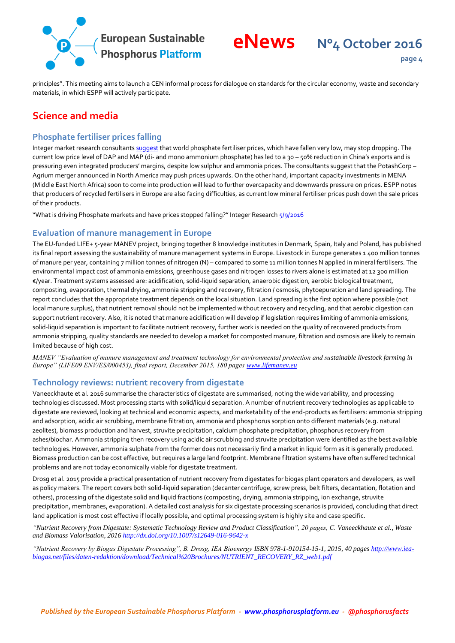

**page 4**

principles". This meeting aims to launch a CEN informal process for dialogue on standards for the circular economy, waste and secondary materials, in which ESPP will actively participate.

# <span id="page-3-0"></span>**Science and media**

#### <span id="page-3-1"></span>**Phosphate fertiliser prices falling**

Integer market research consultant[s suggest](https://www.integer-research.com/integer-alert/what-is-driving-phosphate-markets-and-have-prices-stopped-falling/) that world phosphate fertiliser prices, which have fallen very low, may stop dropping. The current low price level of DAP and MAP (di- and mono ammonium phosphate) has led to a 30 – 50% reduction in China's exports and is pressuring even integrated producers' margins, despite low sulphur and ammonia prices. The consultants suggest that the PotashCorp – Agrium merger announced in North America may push prices upwards. On the other hand, important capacity investments in MENA (Middle East North Africa) soon to come into production will lead to further overcapacity and downwards pressure on prices. ESPP notes that producers of recycled fertilisers in Europe are also facing difficulties, as current low mineral fertiliser prices push down the sale prices of their products.

"What is driving Phosphate markets and have prices stopped falling?" Integer Research [5/9/2016](https://www.integer-research.com/integer-alert/what-is-driving-phosphate-markets-and-have-prices-stopped-falling/)

#### <span id="page-3-2"></span>**Evaluation of manure management in Europe**

The EU-funded LIFE+ 5-year MANEV project, bringing together 8 knowledge institutes in Denmark, Spain, Italy and Poland, has published its final report assessing the sustainability of manure management systems in Europe. Livestock in Europe generates 1 400 million tonnes of manure per year, containing 7 million tonnes of nitrogen (N) – compared to some 11 million tonnes N applied in mineral fertilisers. The environmental impact cost of ammonia emissions, greenhouse gases and nitrogen losses to rivers alone is estimated at 12 300 million €/year. Treatment systems assessed are: acidification, solid-liquid separation, anaerobic digestion, aerobic biological treatment, composting, evaporation, thermal drying, ammonia stripping and recovery, filtration / osmosis, phytoepuration and land spreading. The report concludes that the appropriate treatment depends on the local situation. Land spreading is the first option where possible (not local manure surplus), that nutrient removal should not be implemented without recovery and recycling, and that aerobic digestion can support nutrient recovery. Also, it is noted that manure acidification will develop if legislation requires limiting of ammonia emissions, solid-liquid separation is important to facilitate nutrient recovery, further work is needed on the quality of recovered products from ammonia stripping, quality standards are needed to develop a market for composted manure, filtration and osmosis are likely to remain limited because of high cost.

*MANEV "Evaluation of manure management and treatment technology for environmental protection and sustainable livestock farming in Europe" (LIFE09 ENV/ES/000453), final report, December 2015, 180 page[s www.lifemanev.eu](http://www.lifemanev.eu/)*

#### <span id="page-3-3"></span>**Technology reviews: nutrient recovery from digestate**

Vaneeckhaute et al. 2016 summarise the characteristics of digestate are summarised, noting the wide variability, and processing technologies discussed. Most processing starts with solid/liquid separation. A number of nutrient recovery technologies as applicable to digestate are reviewed, looking at technical and economic aspects, and marketability of the end-products as fertilisers: ammonia stripping and adsorption, acidic air scrubbing, membrane filtration, ammonia and phosphorus sorption onto different materials (e.g. natural zeolites), biomass production and harvest, struvite precipitation, calcium phosphate precipitation, phosphorus recovery from ashes/biochar. Ammonia stripping then recovery using acidic air scrubbing and struvite precipitation were identified as the best available technologies. However, ammonia sulphate from the former does not necessarily find a market in liquid form as it is generally produced. Biomass production can be cost effective, but requires a large land footprint. Membrane filtration systems have often suffered technical problems and are not today economically viable for digestate treatment.

Drosg et al. 2015 provide a practical presentation of nutrient recovery from digestates for biogas plant operators and developers, as well as policy makers. The report covers both solid-liquid separation (decanter centrifuge, screw press, belt filters, decantation, flotation and others), processing of the digestate solid and liquid fractions (composting, drying, ammonia stripping, ion exchange, struvite precipitation, membranes, evaporation). A detailed cost analysis for six digestate processing scenarios is provided, concluding that direct land application is most cost effective if locally possible, and optimal processing system is highly site and case specific.

*"Nutrient Recovery from Digestate: Systematic Technology Review and Product Classification", 20 pages, C. Vaneeckhaute et al., Waste and Biomass Valorisation, 2016<http://dx.doi.org/10.1007/s12649-016-9642-x>*

*"Nutrient Recovery by Biogas Digestate Processing", B. Drosg, IEA Bioenergy ISBN 978-1-910154-15-1, 2015, 40 page[s http://www.iea](http://www.iea-biogas.net/files/daten-redaktion/download/Technical%20Brochures/NUTRIENT_RECOVERY_RZ_web1.pdf)[biogas.net/files/daten-redaktion/download/Technical%20Brochures/NUTRIENT\\_RECOVERY\\_RZ\\_web1.pdf](http://www.iea-biogas.net/files/daten-redaktion/download/Technical%20Brochures/NUTRIENT_RECOVERY_RZ_web1.pdf)*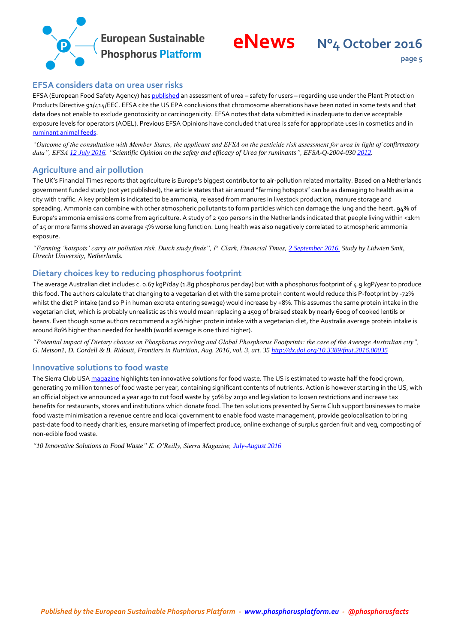



### <span id="page-4-0"></span>**EFSA considers data on urea user risks**

EFSA (European Food Safety Agency) ha[s published](https://www.efsa.europa.eu/fr/supporting/pub/1065e) an assessment of urea - safety for users - regarding use under the Plant Protection Products Directive 91/414/EEC. EFSA cite the US EPA conclusions that chromosome aberrations have been noted in some tests and that data does not enable to exclude genotoxicity or carcinogenicity. EFSA notes that data submitted is inadequate to derive acceptable exposure levels for operators (AOEL). Previous EFSA Opinions have concluded that urea is safe for appropriate uses in cosmetics and in [ruminant animal feeds.](https://www.efsa.europa.eu/en/efsajournal/pub/2624)

*"Outcome of the consultation with Member States, the applicant and EFSA on the pesticide risk assessment for urea in light of confirmatory data", EFS[A 12 July 2016.](https://www.efsa.europa.eu/fr/supporting/pub/1065e) "Scientific Opinion on the safety and efficacy of Urea for ruminants", EFSA-Q-2004-030 [2012.](https://www.efsa.europa.eu/en/efsajournal/pub/2624)*

#### <span id="page-4-1"></span>**Agriculture and air pollution**

The UK's Financial Times reports that agriculture is Europe's biggest contributor to air-pollution related mortality. Based on a Netherlands government funded study (not yet published), the article states that air around "farming hotspots" can be as damaging to health as in a city with traffic. A key problem is indicated to be ammonia, released from manures in livestock production, manure storage and spreading. Ammonia can combine with other atmospheric pollutants to form particles which can damage the lung and the heart. 94% of Europe's ammonia emissions come from agriculture. A study of 2 500 persons in the Netherlands indicated that people living within <1km of 15 or more farms showed an average 5% worse lung function. Lung health was also negatively correlated to atmospheric ammonia exposure.

*"Farming 'hotspots' carry air pollution risk, Dutch study finds", P. Clark, Financial Times[, 2 September 2016.](http://www.ft.com/cms/s/0/44588db4-705f-11e6-9ac1-1055824ca907.html) Study by Lidwien Smit, Utrecht University, Netherlands.*

#### <span id="page-4-2"></span>**Dietary choices key to reducing phosphorus footprint**

The average Australian diet includes c. 0.67 kgP/day (1.8g phosphorus per day) but with a phosphorus footprint of 4.9 kgP/year to produce this food. The authors calculate that changing to a vegetarian diet with the same protein content would reduce this P-footprint by -72% whilst the diet P intake (and so P in human excreta entering sewage) would increase by +8%. This assumes the same protein intake in the vegetarian diet, which is probably unrealistic as this would mean replacing a 150g of braised steak by nearly 600g of cooked lentils or beans. Even though some authors recommend a 25% higher protein intake with a vegetarian diet, the Australia average protein intake is around 80% higher than needed for health (world average is one third higher).

*"Potential impact of Dietary choices on Phosphorus recycling and Global Phosphorus Footprints: the case of the Average Australian city", G. Metson1, D. Cordell & B. Ridoutt, Frontiers in Nutrition, Aug. 2016, vol. 3, art. 3[5 http://dx.doi.org/10.3389/fnut.2016.00035](http://dx.doi.org/10.3389/fnut.2016.00035)*

#### <span id="page-4-3"></span>**Innovative solutions to food waste**

The Sierra Club US[A magazine](https://sierraclub.org/sierra/2016-4-july-august/green-life/10-innovative-solutions-food-waste) highlights ten innovative solutions for food waste. The US is estimated to waste half the food grown, generating 70 million tonnes of food waste per year, containing significant contents of nutrients. Action is however starting in the US, with an official objective announced a year ago to cut food waste by 50% by 2030 and legislation to loosen restrictions and increase tax benefits for restaurants, stores and institutions which donate food. The ten solutions presented by Serra Club support businesses to make food waste minimisation a revenue centre and local government to enable food waste management, provide geolocalisation to bring past-date food to needy charities, ensure marketing of imperfect produce, online exchange of surplus garden fruit and veg, composting of non-edible food waste.

*"10 Innovative Solutions to Food Waste" K. O'Reilly, Sierra Magazine, [July-August 2016](https://sierraclub.org/sierra/2016-4-july-august/green-life/10-innovative-solutions-food-waste)*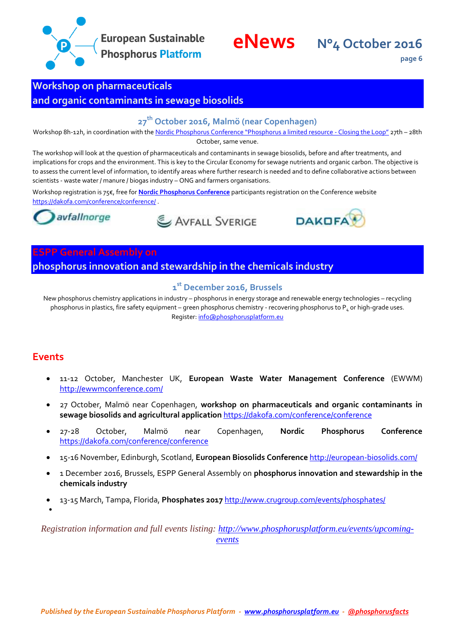

**page 6**

# <span id="page-5-0"></span>**Workshop on pharmaceuticals**

# <span id="page-5-1"></span>**and organic contaminants in sewage biosolids**

# **27th October 2016, Malmö (near Copenhagen)**

Workshop 8h-12h, in coordination with the Nord[ic Phosphorus Conference "Phosphorus a limited resource](https://dakofa.com/conference/conference/) - Closing the Loop" 27th – 28th October, same venue.

The workshop will look at the question of pharmaceuticals and contaminants in sewage biosolids, before and after treatments, and implications for crops and the environment. This is key to the Circular Economy for sewage nutrients and organic carbon. The objective is to assess the current level of information, to identify areas where further research is needed and to define collaborative actions between scientists - waste water / manure / biogas industry – ONG and farmers organisations.

Workshop registration is 75€, free for **[Nordic Phosphorus Conference](https://dakofa.com/conference/conference/)** participants registration on the Conference website <https://dakofa.com/conference/conference/> .



AVFALL SVERIGE



### <span id="page-5-2"></span>**ESPP General Assembly on**

<span id="page-5-3"></span>**phosphorus innovation and stewardship in the chemicals industry**

### **1 st December 2016, Brussels**

New phosphorus chemistry applications in industry – phosphorus in energy storage and renewable energy technologies – recycling phosphorus in plastics, fire safety equipment – green phosphorus chemistry - recovering phosphorus to  $P_4$  or high-grade uses. Register[: info@phosphorusplatform.eu](mailto:info@phosphorusplatform.eu)

# <span id="page-5-4"></span>**Events**

 $\bullet$ 

- 11-12 October, Manchester UK, **European Waste Water Management Conference** (EWWM) <http://ewwmconference.com/>
- 27 October, Malmö near Copenhagen, **workshop on pharmaceuticals and organic contaminants in sewage biosolids and agricultural application** <https://dakofa.com/conference/conference>
- 27-28 October, Malmö near Copenhagen, **Nordic Phosphorus Conference** <https://dakofa.com/conference/conference>
- 15-16 November, Edinburgh, Scotland, **European Biosolids Conference** <http://european-biosolids.com/>
- 1 December 2016, Brussels, ESPP General Assembly on **phosphorus innovation and stewardship in the chemicals industry**
- 13-15 March, Tampa, Florida, **Phosphates 2017** <http://www.crugroup.com/events/phosphates/>

*Registration information and full events listing: [http://www.phosphorusplatform.eu/events/upcoming](http://www.phosphorusplatform.eu/events/upcoming-events)[events](http://www.phosphorusplatform.eu/events/upcoming-events)*